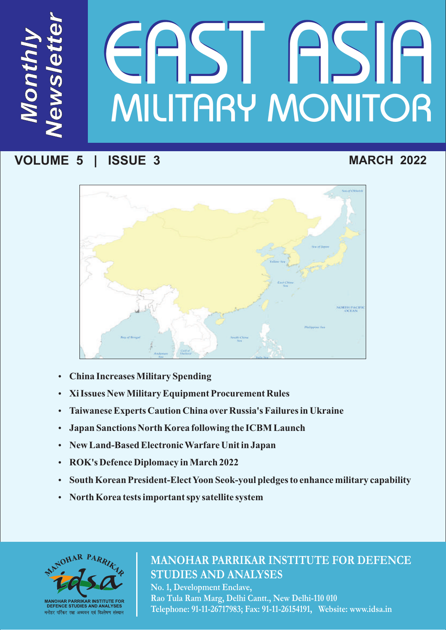# MILITARY MONITOR TESTE

# **VOLUME 5 | ISSUE 3**

*M*

*N*

*e*

*ws*

*le*

*te*

*<sup>r</sup>*

*t*

*on*

*th*

*ly* 

# **MARCH 2022**



- 
- ??**China Increases Military Spending**
- ?**Xi Issues New Military Equipment Procurement Rules Taiwanese Experts Caution China over Russia's Failures in Ukraine<br>• Japan Sanctions North Korea following the ICBM Launch**
- ?**Japan Sanctions North Korea following the ICBM Launch**
- ?**New Land-Based Electronic Warfare Unit in Japan**
- 
- ?**ROK's Defence Diplomacy in March 2022** ?**South Korean President-Elect Yoon Seok-youl pledges to enhance military capability**
- **North Korea tests important spy satellite system**



# **MANOHAR PARRIKAR INSTITUTE FOR DEFENCE STUDIES AND ANALYSES**

**No. 1, Development Enclave, Rao Tula Ram Marg, Delhi Cantt., New Delhi-110 010 Telephone: 91-11-26717983; Fax: 91-11-26154191, Website: www.idsa.in**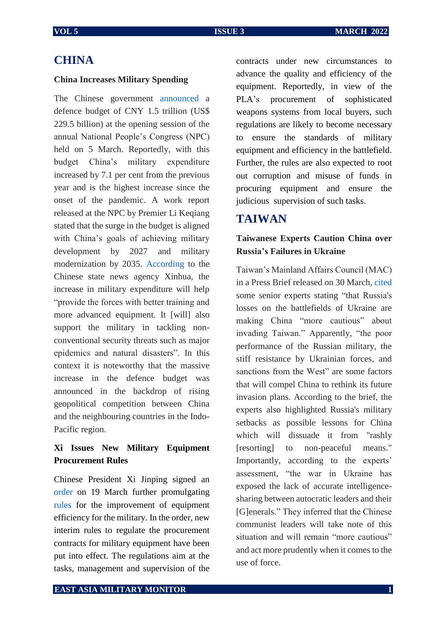### **CHINA**

### **China Increases Military Spending**

The Chinese government [announced](https://www.janes.com/defence-news/news-detail/china-increases-2022-defence-budget-by-71) a defence budget of CNY 1.5 trillion (US\$ 229.5 billion) at the opening session of the annual National People's Congress (NPC) held on 5 March. Reportedly, with this budget China's military expenditure increased by 7.1 per cent from the previous year and is the highest increase since the onset of the pandemic. A work report released at the NPC by Premier Li Keqiang stated that the surge in the budget is aligned with China's goals of achieving military development by 2027 and military modernization by 2035. [According](https://d.docs.live.net/d02ad37ffb30f161/Documents/MP-IDSA%20work/East%20Asia%20Military%20Monitor/EAMM%20March%202022/will%20help) to the Chinese state news agency Xinhua, the increase in military expenditure will help "provide the forces with better training and more advanced equipment. It [will] also support the military in tackling nonconventional security threats such as major epidemics and natural disasters". In this context it is noteworthy that the massive increase in the defence budget was announced in the backdrop of rising geopolitical competition between China and the neighbouring countries in the Indo-Pacific region.

### **Xi Issues New Military Equipment Procurement Rules**

Chinese President Xi Jinping signed an [order](https://news.cgtn.com/news/2022-03-19/Xi-signs-order-on-regulations-of-military-equipment-purchase-contracts-18x78yKs5zO/index.html) on 19 March further promulgating [rules](https://www.globaltimes.cn/page/202203/1255344.shtml) for the improvement of equipment efficiency for the military. In the order, new interim rules to regulate the procurement contracts for military equipment have been put into effect. The regulations aim at the tasks, management and supervision of the

contracts under new circumstances to advance the quality and efficiency of the equipment. Reportedly, in view of the PLA's procurement of sophisticated weapons systems from local buyers, such regulations are likely to become necessary to ensure the standards of military equipment and efficiency in the battlefield. Further, the rules are also expected to root out corruption and misuse of funds in procuring equipment and ensure the judicious supervision of such tasks.

### **TAIWAN**

### **Taiwanese Experts Caution China over Russia's Failures in Ukraine**

Taiwan's Mainland Affairs Council (MAC) in a Press Brief released on 30 March, [cited](https://www.taiwannews.com.tw/en/news/4492405) some senior experts stating "that Russia's losses on the battlefields of Ukraine are making China "more cautious" about invading Taiwan." Apparently, "the poor performance of the Russian military, the stiff resistance by Ukrainian forces, and sanctions from the West" are some factors that will compel China to rethink its future invasion plans. According to the brief, the experts also highlighted Russia's military setbacks as possible lessons for China which will dissuade it from "rashly [resorting] to non-peaceful means." Importantly, according to the experts' assessment, "the war in Ukraine has exposed the lack of accurate intelligencesharing between autocratic leaders and their [G]enerals." They inferred that the Chinese communist leaders will take note of this situation and will remain "more cautious" and act more prudently when it comes to the use of force.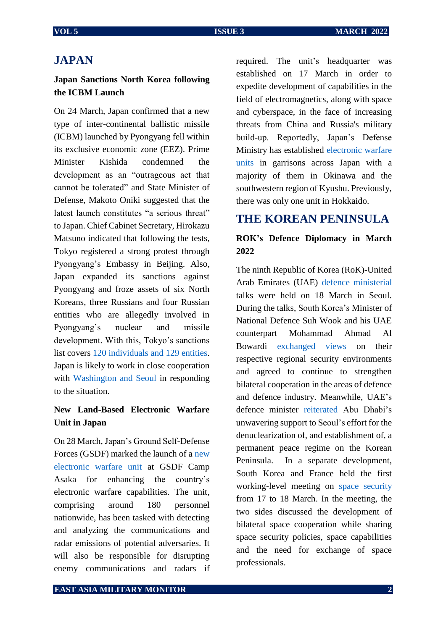### **JAPAN**

### **Japan Sanctions North Korea following the ICBM Launch**

On 24 March, Japan confirmed that a new type of inter-continental ballistic missile (ICBM) launched by Pyongyang fell within its exclusive economic zone (EEZ). Prime Minister Kishida condemned the development as an "outrageous act that cannot be tolerated" and State Minister of Defense, Makoto Oniki suggested that the latest launch constitutes "a serious threat" to Japan. Chief Cabinet Secretary, Hirokazu Matsuno indicated that following the tests, Tokyo registered a strong protest through Pyongyang's Embassy in Beijing. Also, Japan expanded its sanctions against Pyongyang and froze assets of six North Koreans, three Russians and four Russian entities who are allegedly involved in Pyongyang's nuclear and missile development. With this, Tokyo's sanctions list covers [120 individuals and 129 entities.](https://www3.nhk.or.jp/nhkworld/en/news/20220401_17/) Japan is likely to work in close cooperation with [Washington and Seoul](https://japan.kantei.go.jp/101_kishida/statement/202203/_00027.html) in responding to the situation.

### **New Land-Based Electronic Warfare Unit in Japan**

On 28 March, Japan's Ground Self-Defense Forces (GSDF) marked the launch of a [new](https://english.kyodonews.net/news/2022/03/c58bbc3d7a79-japans-gsdf-marks-launch-of-new-electronic-warfare-unit.html)  [electronic warfare unit](https://english.kyodonews.net/news/2022/03/c58bbc3d7a79-japans-gsdf-marks-launch-of-new-electronic-warfare-unit.html) at GSDF Camp Asaka for enhancing the country's electronic warfare capabilities. The unit, comprising around 180 personnel nationwide, has been tasked with detecting and analyzing the communications and radar emissions of potential adversaries. It will also be responsible for disrupting enemy communications and radars if required. The unit's headquarter was established on 17 March in order to expedite development of capabilities in the field of electromagnetics, along with space and cyberspace, in the face of increasing threats from China and Russia's military build-up. Reportedly, Japan's Defense Ministry has established [electronic warfare](https://d.docs.live.net/d02ad37ffb30f161/Documents/MP-IDSA%20work/East%20Asia%20Military%20Monitor/EAMM%20March%202022/electronic%20warfare%20units%20in%20garrisons%20across%20Japan,%20but%20predominantly%20in%20Okinawa%20and%20the%20southwestern%20region%20of%20Kyushu.%20Previously,%20there%20was%20only%20one%20unit%20on%20Japan)  [units](https://d.docs.live.net/d02ad37ffb30f161/Documents/MP-IDSA%20work/East%20Asia%20Military%20Monitor/EAMM%20March%202022/electronic%20warfare%20units%20in%20garrisons%20across%20Japan,%20but%20predominantly%20in%20Okinawa%20and%20the%20southwestern%20region%20of%20Kyushu.%20Previously,%20there%20was%20only%20one%20unit%20on%20Japan) in garrisons across Japan with a majority of them in Okinawa and the southwestern region of Kyushu. Previously, there was only one unit in Hokkaido.

## **THE KOREAN PENINSULA**

### **ROK's Defence Diplomacy in March 2022**

The ninth Republic of Korea (RoK)-United Arab Emirates (UAE) [defence ministerial](https://www.mnd.go.kr/user/boardList.action?command=view&page=1&boardId=I_8576246&boardSeq=I_9645682&titleId=null&siteId=mndEN&id=mndEN_020600000000&column=null&search=null) talks were held on 18 March in Seoul. During the talks, South Korea's Minister of National Defence Suh Wook and his UAE counterpart Mohammad Ahmad Al Bowardi [exchanged views](https://www.mnd.go.kr/user/boardList.action?command=view&page=1&boardId=I_8576246&boardSeq=I_9645682&titleId=null&siteId=mndEN&id=mndEN_020600000000&column=null&search=null) on their respective regional security environments and agreed to continue to strengthen bilateral cooperation in the areas of defence and defence industry. Meanwhile, UAE's defence minister [reiterated](https://www.mnd.go.kr/user/boardList.action?command=view&page=1&boardId=I_8576246&boardSeq=I_9645682&titleId=null&siteId=mndEN&id=mndEN_020600000000&column=null&search=null) Abu Dhabi's unwavering support to Seoul's effort for the denuclearization of, and establishment of, a permanent peace regime on the Korean Peninsula. In a separate development, South Korea and France held the first working-level meeting on [space security](https://www.mnd.go.kr/user/boardList.action?command=view&page=1&boardId=I_8576246&boardSeq=I_9645691&titleId=null&siteId=mndEN&id=mndEN_020600000000&column=null&search=null) from 17 to 18 March. In the meeting, the two sides discussed the development of bilateral space cooperation while sharing space security policies, space capabilities and the need for exchange of space professionals.